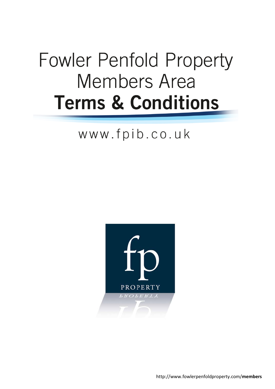# **Fowler Penfold Property Members Area Terms & Conditions**

# www.fpib.co.uk

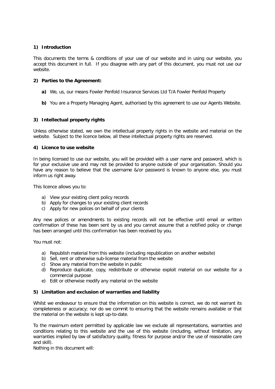# **1) Introduction**

This documents the terms & conditions of your use of our website and in using our website, you accept this document in full. If you disagree with any part of this document, you must not use our website.

## **2) Parties to the Agreement:**

- **a)** We, us, our means Fowler Penfold Insurance Services Ltd T/A Fowler Penfold Property
- **b)** You are a Property Managing Agent, authorised by this agreement to use our Agents Website.

# **3) Intellectual property rights**

Unless otherwise stated, we own the intellectual property rights in the website and material on the website. Subject to the licence below, all these intellectual property rights are reserved.

## **4) Licence to use website**

In being licensed to use our website, you will be provided with a user name and password, which is for your exclusive use and may not be provided to anyone outside of your organisation. Should you have any reason to believe that the username &/or password is known to anyone else, you must inform us right away.

This licence allows you to:

- a) View your existing client policy records
- b) Apply for changes to your existing client records
- c) Apply for new polices on behalf of your clients

Any new polices or amendments to existing records will not be effective until email or written confirmation of these has been sent by us and you cannot assume that a notified policy or change has been arranged until this confirmation has been received by you.

You must not:

- a) Republish material from this website (including republication on another website)
- b) Sell, rent or otherwise sub-license material from the website
- c) Show any material from the website in public
- d) Reproduce duplicate, copy, redistribute or otherwise exploit material on our website for a commercial purpose
- e) Edit or otherwise modify any material on the website

## **5) Limitation and exclusion of warranties and liability**

Whilst we endeavour to ensure that the information on this website is correct, we do not warrant its completeness or accuracy; nor do we commit to ensuring that the website remains available or that the material on the website is kept up-to-date.

To the maximum extent permitted by applicable law we exclude all representations, warranties and conditions relating to this website and the use of this website (including, without limitation, any warranties implied by law of satisfactory quality, fitness for purpose and/or the use of reasonable care and skill).

Nothing in this document will: